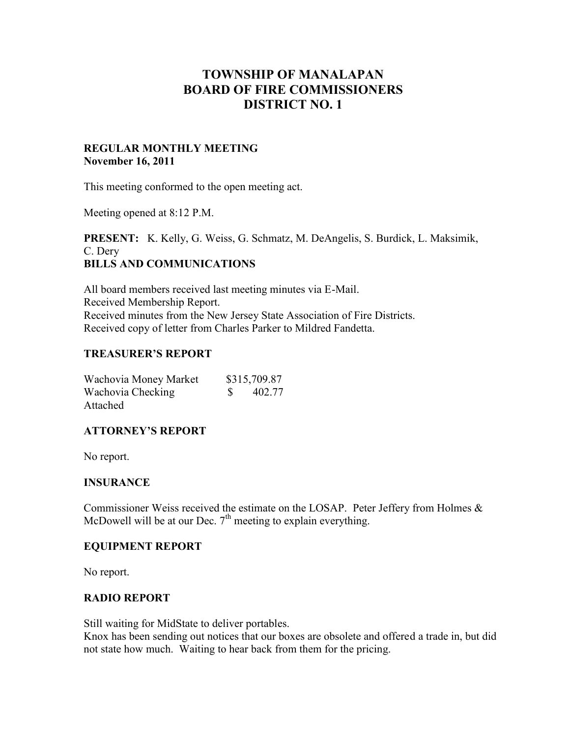# **TOWNSHIP OF MANALAPAN BOARD OF FIRE COMMISSIONERS DISTRICT NO. 1**

## **REGULAR MONTHLY MEETING November 16, 2011**

This meeting conformed to the open meeting act.

Meeting opened at 8:12 P.M.

**PRESENT:** K. Kelly, G. Weiss, G. Schmatz, M. DeAngelis, S. Burdick, L. Maksimik, C. Dery **BILLS AND COMMUNICATIONS**

All board members received last meeting minutes via E-Mail. Received Membership Report. Received minutes from the New Jersey State Association of Fire Districts. Received copy of letter from Charles Parker to Mildred Fandetta.

## **TREASURER'S REPORT**

| Wachovia Money Market | \$315,709.87 |  |
|-----------------------|--------------|--|
| Wachovia Checking     | 402.77       |  |
| Attached              |              |  |

# **ATTORNEY'S REPORT**

No report.

#### **INSURANCE**

Commissioner Weiss received the estimate on the LOSAP. Peter Jeffery from Holmes  $\&$ McDowell will be at our Dec.  $7<sup>th</sup>$  meeting to explain everything.

#### **EQUIPMENT REPORT**

No report.

#### **RADIO REPORT**

Still waiting for MidState to deliver portables.

Knox has been sending out notices that our boxes are obsolete and offered a trade in, but did not state how much. Waiting to hear back from them for the pricing.